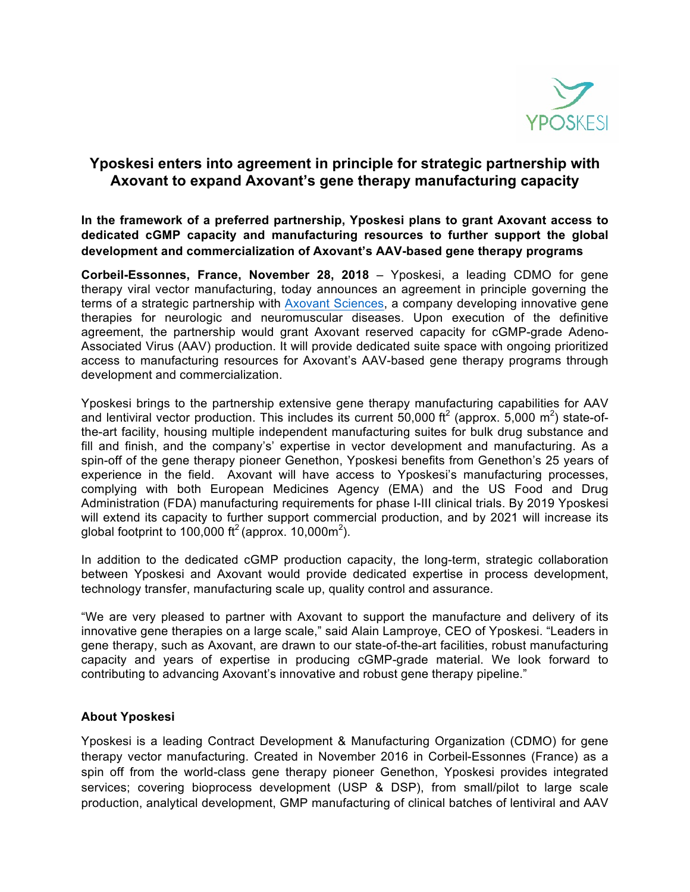

## **Yposkesi enters into agreement in principle for strategic partnership with Axovant to expand Axovant's gene therapy manufacturing capacity**

**In the framework of a preferred partnership, Yposkesi plans to grant Axovant access to dedicated cGMP capacity and manufacturing resources to further support the global development and commercialization of Axovant's AAV-based gene therapy programs**

**Corbeil-Essonnes, France, November 28, 2018** – Yposkesi, a leading CDMO for gene therapy viral vector manufacturing, today announces an agreement in principle governing the terms of a strategic partnership with Axovant Sciences, a company developing innovative gene therapies for neurologic and neuromuscular diseases. Upon execution of the definitive agreement, the partnership would grant Axovant reserved capacity for cGMP-grade Adeno-Associated Virus (AAV) production. It will provide dedicated suite space with ongoing prioritized access to manufacturing resources for Axovant's AAV-based gene therapy programs through development and commercialization.

Yposkesi brings to the partnership extensive gene therapy manufacturing capabilities for AAV and lentiviral vector production. This includes its current 50,000 ft<sup>2</sup> (approx. 5,000 m<sup>2</sup>) state-ofthe-art facility, housing multiple independent manufacturing suites for bulk drug substance and fill and finish, and the company's' expertise in vector development and manufacturing. As a spin-off of the gene therapy pioneer Genethon, Yposkesi benefits from Genethon's 25 years of experience in the field. Axovant will have access to Yposkesi's manufacturing processes, complying with both European Medicines Agency (EMA) and the US Food and Drug Administration (FDA) manufacturing requirements for phase I-III clinical trials. By 2019 Yposkesi will extend its capacity to further support commercial production, and by 2021 will increase its global footprint to 100,000 ft<sup>2</sup> (approx. 10,000m<sup>2</sup>).

In addition to the dedicated cGMP production capacity, the long-term, strategic collaboration between Yposkesi and Axovant would provide dedicated expertise in process development, technology transfer, manufacturing scale up, quality control and assurance.

"We are very pleased to partner with Axovant to support the manufacture and delivery of its innovative gene therapies on a large scale," said Alain Lamproye, CEO of Yposkesi. "Leaders in gene therapy, such as Axovant, are drawn to our state-of-the-art facilities, robust manufacturing capacity and years of expertise in producing cGMP-grade material. We look forward to contributing to advancing Axovant's innovative and robust gene therapy pipeline."

## **About Yposkesi**

Yposkesi is a leading Contract Development & Manufacturing Organization (CDMO) for gene therapy vector manufacturing. Created in November 2016 in Corbeil-Essonnes (France) as a spin off from the world-class gene therapy pioneer Genethon, Yposkesi provides integrated services; covering bioprocess development (USP & DSP), from small/pilot to large scale production, analytical development, GMP manufacturing of clinical batches of lentiviral and AAV